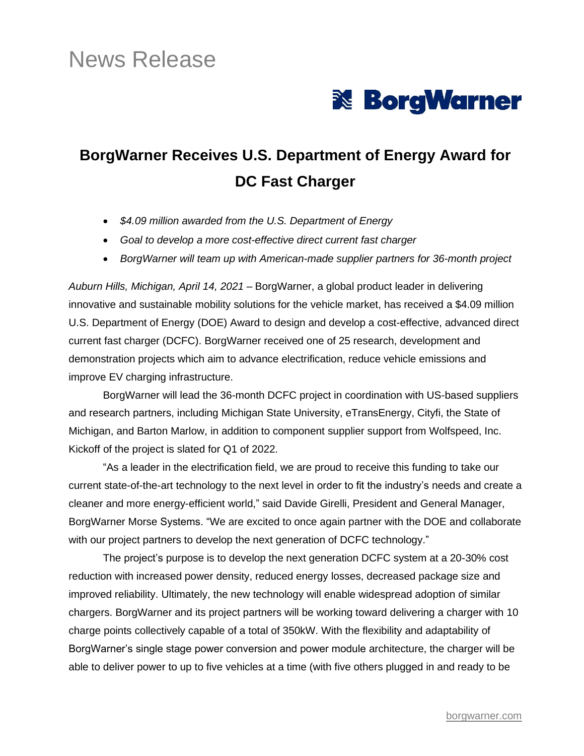# News Release



## **BorgWarner Receives U.S. Department of Energy Award for DC Fast Charger**

- *\$4.09 million awarded from the U.S. Department of Energy*
- *Goal to develop a more cost-effective direct current fast charger*
- *BorgWarner will team up with American-made supplier partners for 36-month project*

*Auburn Hills, Michigan, April 14, 2021* – BorgWarner, a global product leader in delivering innovative and sustainable mobility solutions for the vehicle market, has received a \$4.09 million U.S. Department of Energy (DOE) Award to design and develop a cost-effective, advanced direct current fast charger (DCFC). BorgWarner received one of 25 research, development and demonstration projects which aim to advance electrification, reduce vehicle emissions and improve EV charging infrastructure.

BorgWarner will lead the 36-month DCFC project in coordination with US-based suppliers and research partners, including Michigan State University, eTransEnergy, Cityfi, the State of Michigan, and Barton Marlow, in addition to component supplier support from Wolfspeed, Inc. Kickoff of the project is slated for Q1 of 2022.

"As a leader in the electrification field, we are proud to receive this funding to take our current state-of-the-art technology to the next level in order to fit the industry's needs and create a cleaner and more energy-efficient world," said Davide Girelli, President and General Manager, BorgWarner Morse Systems. "We are excited to once again partner with the DOE and collaborate with our project partners to develop the next generation of DCFC technology."

The project's purpose is to develop the next generation DCFC system at a 20-30% cost reduction with increased power density, reduced energy losses, decreased package size and improved reliability. Ultimately, the new technology will enable widespread adoption of similar chargers. BorgWarner and its project partners will be working toward delivering a charger with 10 charge points collectively capable of a total of 350kW. With the flexibility and adaptability of BorgWarner's single stage power conversion and power module architecture, the charger will be able to deliver power to up to five vehicles at a time (with five others plugged in and ready to be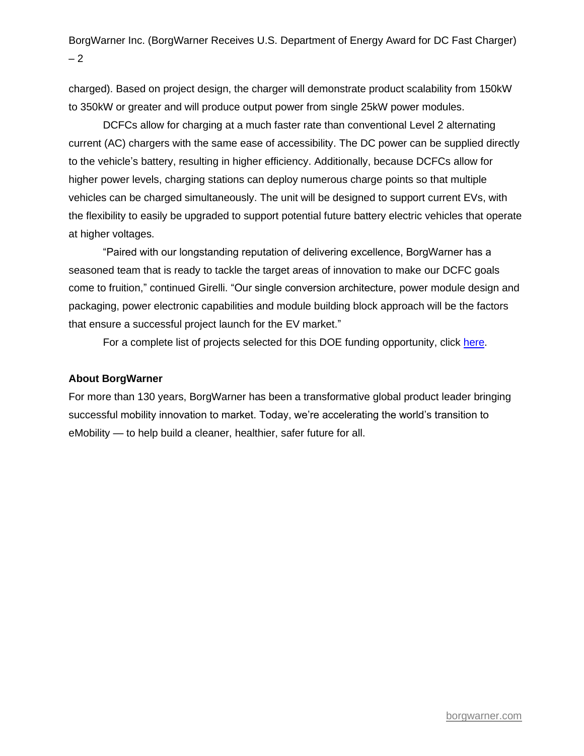BorgWarner Inc. (BorgWarner Receives U.S. Department of Energy Award for DC Fast Charger) – 2

charged). Based on project design, the charger will demonstrate product scalability from 150kW to 350kW or greater and will produce output power from single 25kW power modules.

DCFCs allow for charging at a much faster rate than conventional Level 2 alternating current (AC) chargers with the same ease of accessibility. The DC power can be supplied directly to the vehicle's battery, resulting in higher efficiency. Additionally, because DCFCs allow for higher power levels, charging stations can deploy numerous charge points so that multiple vehicles can be charged simultaneously. The unit will be designed to support current EVs, with the flexibility to easily be upgraded to support potential future battery electric vehicles that operate at higher voltages.

"Paired with our longstanding reputation of delivering excellence, BorgWarner has a seasoned team that is ready to tackle the target areas of innovation to make our DCFC goals come to fruition," continued Girelli. "Our single conversion architecture, power module design and packaging, power electronic capabilities and module building block approach will be the factors that ensure a successful project launch for the EV market."

For a complete list of projects selected for this DOE funding opportunity, click [here.](https://www.energy.gov/sites/default/files/2021-10/FY21_VTO_2475_Low_GHG_selections_table-for_release.pdf)

#### **About BorgWarner**

For more than 130 years, BorgWarner has been a transformative global product leader bringing successful mobility innovation to market. Today, we're accelerating the world's transition to eMobility — to help build a cleaner, healthier, safer future for all.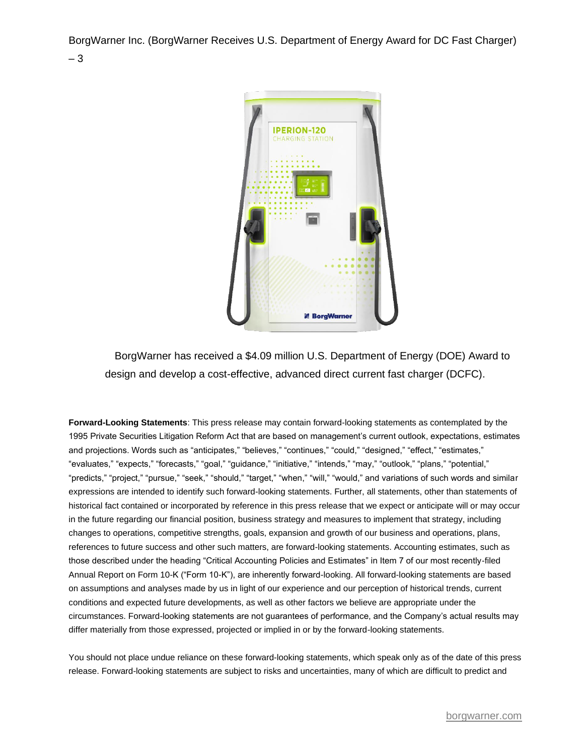BorgWarner Inc. (BorgWarner Receives U.S. Department of Energy Award for DC Fast Charger) – 3



BorgWarner has received a \$4.09 million U.S. Department of Energy (DOE) Award to design and develop a cost-effective, advanced direct current fast charger (DCFC).

**Forward-Looking Statements**: This press release may contain forward-looking statements as contemplated by the 1995 Private Securities Litigation Reform Act that are based on management's current outlook, expectations, estimates and projections. Words such as "anticipates," "believes," "continues," "could," "designed," "effect," "estimates," "evaluates," "expects," "forecasts," "goal," "guidance," "initiative," "intends," "may," "outlook," "plans," "potential," "predicts," "project," "pursue," "seek," "should," "target," "when," "will," "would," and variations of such words and similar expressions are intended to identify such forward-looking statements. Further, all statements, other than statements of historical fact contained or incorporated by reference in this press release that we expect or anticipate will or may occur in the future regarding our financial position, business strategy and measures to implement that strategy, including changes to operations, competitive strengths, goals, expansion and growth of our business and operations, plans, references to future success and other such matters, are forward-looking statements. Accounting estimates, such as those described under the heading "Critical Accounting Policies and Estimates" in Item 7 of our most recently-filed Annual Report on Form 10-K ("Form 10-K"), are inherently forward-looking. All forward-looking statements are based on assumptions and analyses made by us in light of our experience and our perception of historical trends, current conditions and expected future developments, as well as other factors we believe are appropriate under the circumstances. Forward-looking statements are not guarantees of performance, and the Company's actual results may differ materially from those expressed, projected or implied in or by the forward-looking statements.

You should not place undue reliance on these forward-looking statements, which speak only as of the date of this press release. Forward-looking statements are subject to risks and uncertainties, many of which are difficult to predict and